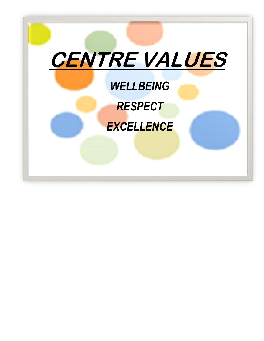